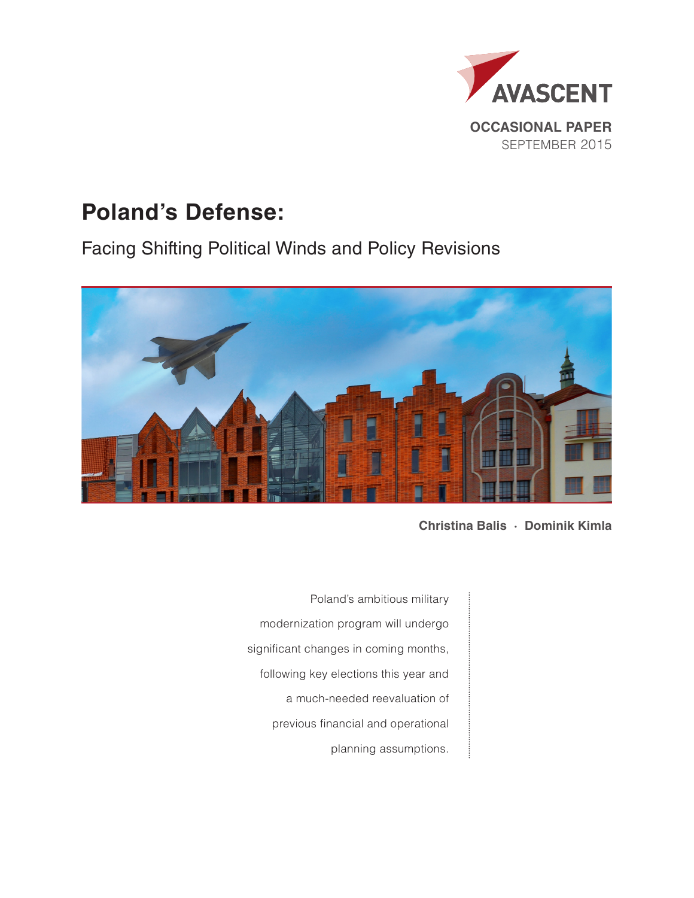

# **Poland's Defense:**

Facing Shifting Political Winds and Policy Revisions



**Christina Balis · Dominik Kimla**

Poland's ambitious military modernization program will undergo significant changes in coming months, following key elections this year and a much-needed reevaluation of previous financial and operational planning assumptions.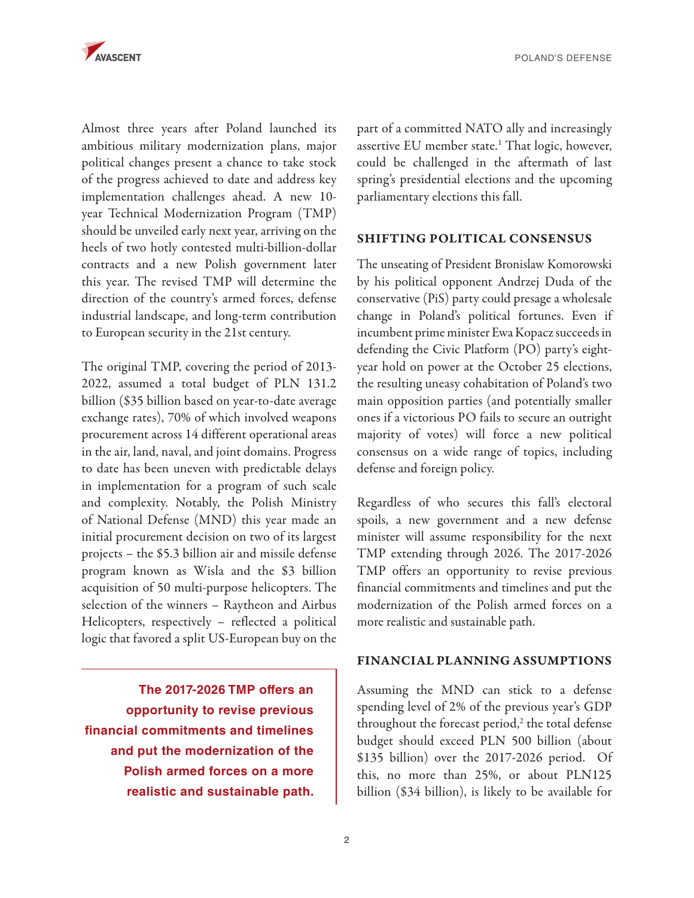

Almost three years after Poland launched its ambitious military modernization plans, major political changes present a chance to take stock of the progress achieved to date and address key implementation challenges ahead. A new 10 year Technical Modernization Program (TMP) should be unveiled early next year, arriving on the heels of two hotly contested multi-billion-dollar contracts and a new Polish government later this year. The revised TMP will determine the direction of the country's armed forces, defense industrial landscape, and long-term contribution to European security in the 21st century.

The original TMP, covering the period of 2013- 2022, assumed a total budget of PLN 131.2 billion (\$35 billion based on year-to-date average exchange rates), 70% of which involved weapons procurement across 14 different operational areas in the air, land, naval, and joint domains. Progress to date has been uneven with predictable delays in implementation for a program of such scale and complexity. Notably, the Polish Ministry of National Defense (MND) this year made an initial procurement decision on two of its largest projects – the \$5.3 billion air and missile defense program known as Wisla and the \$3 billion acquisition of 50 multi-purpose helicopters. The selection of the winners – Raytheon and Airbus Helicopters, respectively – reflected a political logic that favored a split US-European buy on the

**The 2017-2026 TMP offers an opportunity to revise previous financial commitments and timelines and put the modernization of the Polish armed forces on a more realistic and sustainable path.**  part of a committed NATO ally and increasingly assertive EU member state.<sup>1</sup> That logic, however, could be challenged in the aftermath of last spring's presidential elections and the upcoming parliamentary elections this fall.

## SHIFTING POLITICAL CONSENSUS

The unseating of President Bronislaw Komorowski by his political opponent Andrzej Duda of the conservative (PiS) party could presage a wholesale change in Poland's political fortunes. Even if incumbent prime minister Ewa Kopacz succeeds in defending the Civic Platform (PO) party's eightyear hold on power at the October 25 elections, the resulting uneasy cohabitation of Poland's two main opposition parties (and potentially smaller ones if a victorious PO fails to secure an outright majority of votes) will force a new political consensus on a wide range of topics, including defense and foreign policy.

Regardless of who secures this fall's electoral spoils, a new government and a new defense minister will assume responsibility for the next TMP extending through 2026. The 2017-2026 TMP offers an opportunity to revise previous financial commitments and timelines and put the modernization of the Polish armed forces on a more realistic and sustainable path.

### FINANCIAL PLANNING ASSUMPTIONS

Assuming the MND can stick to a defense spending level of 2% of the previous year's GDP throughout the forecast period,<sup>2</sup> the total defense budget should exceed PLN 500 billion (about \$135 billion) over the 2017-2026 period. Of this, no more than 25%, or about PLN125 billion (\$34 billion), is likely to be available for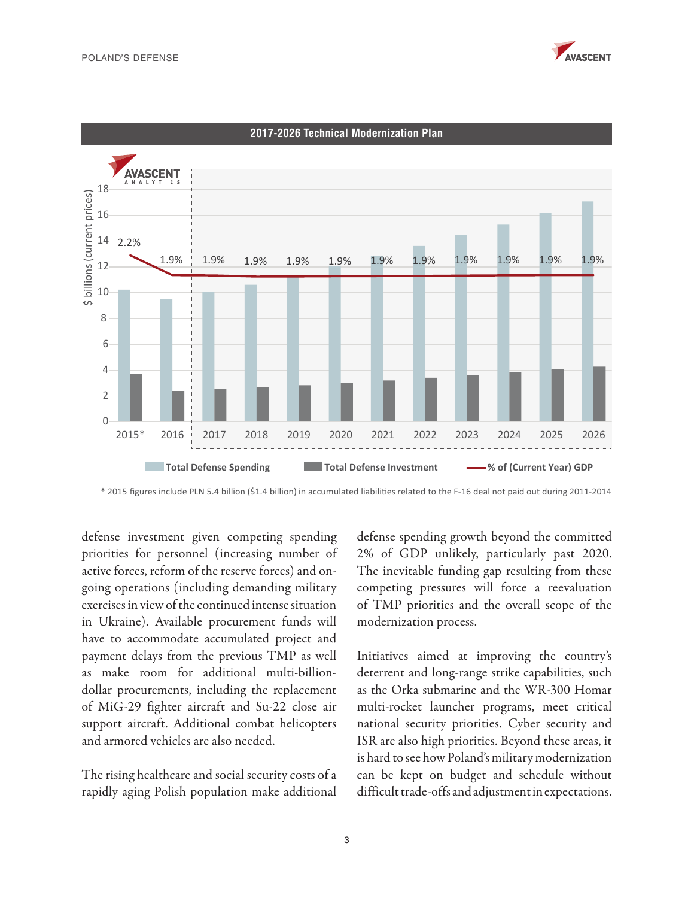



**2017-2026 Technical Modernization Plan**

\* 2015 figures include PLN 5.4 billion (\$1.4 billion) in accumulated liabilities related to the F-16 deal not paid out during 2011-2014

defense investment given competing spending priorities for personnel (increasing number of active forces, reform of the reserve forces) and ongoing operations (including demanding military exercises in view of the continued intense situation in Ukraine). Available procurement funds will have to accommodate accumulated project and payment delays from the previous TMP as well as make room for additional multi-billiondollar procurements, including the replacement of MiG-29 fighter aircraft and Su-22 close air support aircraft. Additional combat helicopters and armored vehicles are also needed.

The rising healthcare and social security costs of a rapidly aging Polish population make additional defense spending growth beyond the committed 2% of GDP unlikely, particularly past 2020. The inevitable funding gap resulting from these competing pressures will force a reevaluation of TMP priorities and the overall scope of the modernization process.

Initiatives aimed at improving the country's deterrent and long-range strike capabilities, such as the Orka submarine and the WR-300 Homar multi-rocket launcher programs, meet critical national security priorities. Cyber security and ISR are also high priorities. Beyond these areas, it is hard to see how Poland's military modernization can be kept on budget and schedule without difficult trade-offs and adjustment in expectations.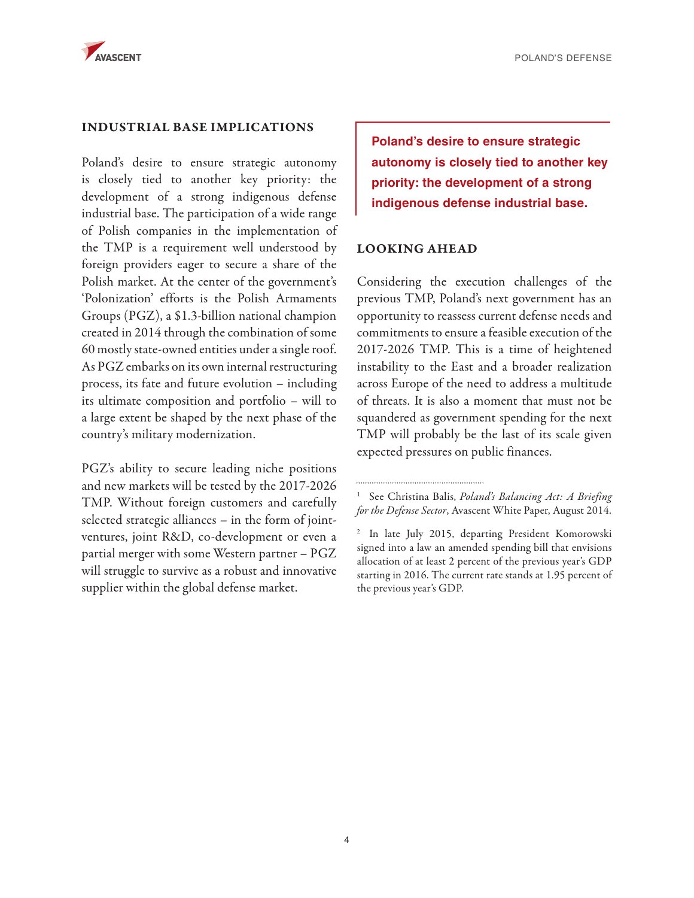

## INDUSTRIAL BASE IMPLICATIONS

Poland's desire to ensure strategic autonomy is closely tied to another key priority: the development of a strong indigenous defense industrial base. The participation of a wide range of Polish companies in the implementation of the TMP is a requirement well understood by foreign providers eager to secure a share of the Polish market. At the center of the government's 'Polonization' efforts is the Polish Armaments Groups (PGZ), a \$1.3-billion national champion created in 2014 through the combination of some 60 mostly state-owned entities under a single roof. As PGZ embarks on its own internal restructuring process, its fate and future evolution – including its ultimate composition and portfolio – will to a large extent be shaped by the next phase of the country's military modernization.

PGZ's ability to secure leading niche positions and new markets will be tested by the 2017-2026 TMP. Without foreign customers and carefully selected strategic alliances – in the form of jointventures, joint R&D, co-development or even a partial merger with some Western partner – PGZ will struggle to survive as a robust and innovative supplier within the global defense market.

**Poland's desire to ensure strategic autonomy is closely tied to another key priority: the development of a strong indigenous defense industrial base.** 

# LOOKING AHEAD

Considering the execution challenges of the previous TMP, Poland's next government has an opportunity to reassess current defense needs and commitments to ensure a feasible execution of the 2017-2026 TMP. This is a time of heightened instability to the East and a broader realization across Europe of the need to address a multitude of threats. It is also a moment that must not be squandered as government spending for the next TMP will probably be the last of its scale given expected pressures on public finances.

<sup>1</sup> See Christina Balis, *Poland's Balancing Act: A Briefing for the Defense Sector*, Avascent White Paper, August 2014.

<sup>2</sup> In late July 2015, departing President Komorowski signed into a law an amended spending bill that envisions allocation of at least 2 percent of the previous year's GDP starting in 2016. The current rate stands at 1.95 percent of the previous year's GDP.